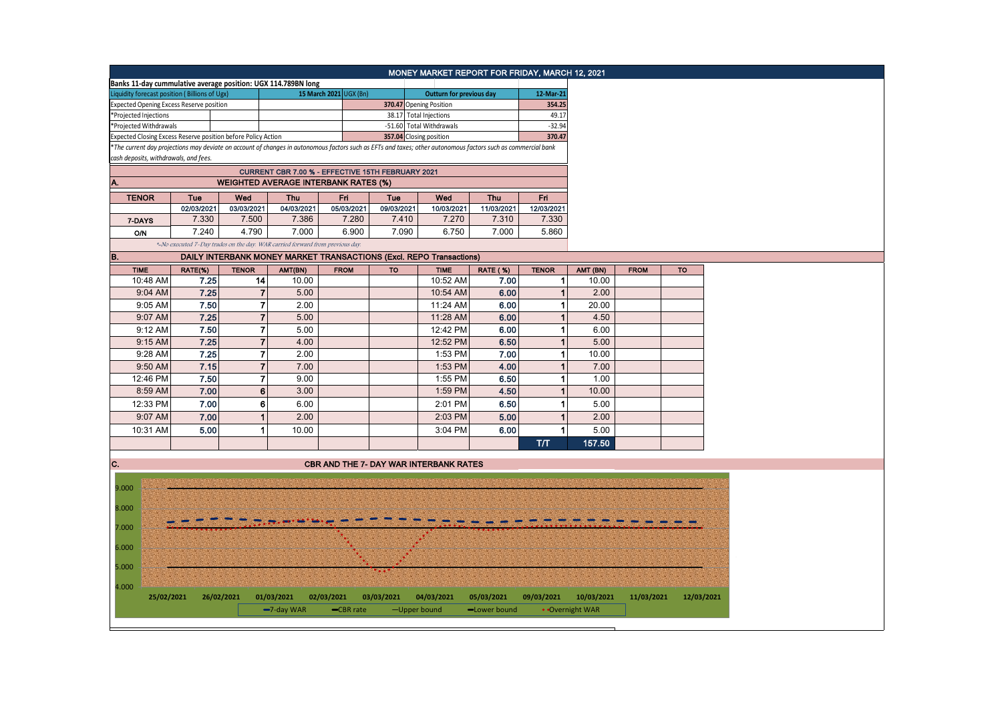|                                                                                                                                                               |            |              |                         |            |                                                                               |              | MONEY MARKET REPORT FOR FRIDAY, MARCH 12, 2021                      |                 |                |                 |             |                 |
|---------------------------------------------------------------------------------------------------------------------------------------------------------------|------------|--------------|-------------------------|------------|-------------------------------------------------------------------------------|--------------|---------------------------------------------------------------------|-----------------|----------------|-----------------|-------------|-----------------|
| Banks 11-day cummulative average position: UGX 114.789BN long                                                                                                 |            |              |                         |            |                                                                               |              |                                                                     |                 |                |                 |             |                 |
| Liquidity forecast position (Billions of Ugx)                                                                                                                 |            |              |                         |            | 15 March 2021 UGX (Bn)                                                        |              | Outturn for previous day                                            |                 | 12-Mar-21      |                 |             |                 |
| <b>Expected Opening Excess Reserve position</b>                                                                                                               |            |              |                         |            |                                                                               |              | 370.47 Opening Position                                             |                 | 354.25         |                 |             |                 |
| *Projected Injections                                                                                                                                         |            |              |                         |            |                                                                               |              | 38.17 Total Injections                                              |                 | 49.17          |                 |             |                 |
| *Projected Withdrawals                                                                                                                                        |            |              |                         |            |                                                                               |              | -51.60 Total Withdrawals                                            |                 | $-32.94$       |                 |             |                 |
| Expected Closing Excess Reserve position before Policy Action                                                                                                 |            |              |                         |            |                                                                               |              | 357.04 Closing position                                             |                 | 370.47         |                 |             |                 |
| *The current day projections may deviate on account of changes in autonomous factors such as EFTs and taxes; other autonomous factors such as commercial bank |            |              |                         |            |                                                                               |              |                                                                     |                 |                |                 |             |                 |
| cash deposits, withdrawals, and fees.                                                                                                                         |            |              |                         |            |                                                                               |              |                                                                     |                 |                |                 |             |                 |
|                                                                                                                                                               |            |              |                         |            | CURRENT CBR 7.00 % - EFFECTIVE 15TH FEBRUARY 2021                             |              |                                                                     |                 |                |                 |             |                 |
| А.                                                                                                                                                            |            |              |                         |            | <b>WEIGHTED AVERAGE INTERBANK RATES (%)</b>                                   |              |                                                                     |                 |                |                 |             |                 |
| <b>TENOR</b>                                                                                                                                                  | Tue        | Wed          |                         | <b>Thu</b> | Fri                                                                           | Tue          | Wed                                                                 | Thu             | Fri            |                 |             |                 |
|                                                                                                                                                               | 02/03/2021 | 03/03/2021   |                         | 04/03/2021 | 05/03/2021                                                                    | 09/03/2021   | 10/03/2021                                                          | 11/03/2021      | 12/03/2021     |                 |             |                 |
| 7-DAYS                                                                                                                                                        | 7.330      |              | 7.500                   | 7.386      | 7.280                                                                         | 7.410        | 7.270                                                               | 7.310           | 7.330          |                 |             |                 |
| O/N                                                                                                                                                           | 7.240      |              | 4.790                   | 7.000      | 6.900                                                                         | 7.090        | 6.750                                                               | 7.000           | 5.860          |                 |             |                 |
|                                                                                                                                                               |            |              |                         |            | *-No executed 7-Day trades on the day. WAR carried forward from previous day. |              |                                                                     |                 |                |                 |             |                 |
| в.                                                                                                                                                            |            |              |                         |            |                                                                               |              | DAILY INTERBANK MONEY MARKET TRANSACTIONS (Excl. REPO Transactions) |                 |                |                 |             |                 |
| <b>TIME</b>                                                                                                                                                   | RATE(%)    | <b>TENOR</b> |                         | AMT(BN)    | <b>FROM</b>                                                                   | <b>TO</b>    | <b>TIME</b>                                                         | <b>RATE (%)</b> | <b>TENOR</b>   | AMT (BN)        | <b>FROM</b> | $\overline{10}$ |
| 10:48 AM                                                                                                                                                      | 7.25       |              | 14                      | 10.00      |                                                                               |              | 10:52 AM                                                            | 7.00            | 1              | 10.00           |             |                 |
| 9:04 AM                                                                                                                                                       | 7.25       |              | $\overline{7}$          | 5.00       |                                                                               |              | 10:54 AM                                                            | 6.00            | $\mathbf{1}$   | 2.00            |             |                 |
| 9:05 AM                                                                                                                                                       | 7.50       |              | $\overline{7}$          | 2.00       |                                                                               |              | 11:24 AM                                                            | 6.00            | $\mathbf{1}$   | 20.00           |             |                 |
| 9:07 AM                                                                                                                                                       | 7.25       |              | $\overline{\mathbf{7}}$ | 5.00       |                                                                               |              | 11:28 AM                                                            | 6.00            | $\overline{1}$ | 4.50            |             |                 |
| 9:12 AM                                                                                                                                                       | 7.50       |              | $\overline{7}$          | 5.00       |                                                                               |              | 12:42 PM                                                            | 6.00            | $\mathbf{1}$   | 6.00            |             |                 |
| 9:15 AM                                                                                                                                                       | 7.25       |              | $\overline{7}$          | 4.00       |                                                                               |              | 12:52 PM                                                            | 6.50            | $\mathbf 1$    | 5.00            |             |                 |
| 9:28 AM                                                                                                                                                       | 7.25       |              | $\overline{7}$          | 2.00       |                                                                               |              | 1:53 PM                                                             | 7.00            | 1              | 10.00           |             |                 |
| 9:50 AM                                                                                                                                                       | 7.15       |              | $\overline{7}$          | 7.00       |                                                                               |              | 1:53 PM                                                             | 4.00            | $\mathbf{1}$   | 7.00            |             |                 |
|                                                                                                                                                               | 7.50       |              | $\overline{7}$          | 9.00       |                                                                               |              |                                                                     | 6.50            | $\mathbf 1$    |                 |             |                 |
| 12:46 PM                                                                                                                                                      |            |              |                         |            |                                                                               |              | 1:55 PM                                                             |                 |                | 1.00            |             |                 |
| 8:59 AM                                                                                                                                                       | 7.00       |              | 6                       | 3.00       |                                                                               |              | 1:59 PM                                                             | 4.50            | $\overline{1}$ | 10.00           |             |                 |
| 12:33 PM                                                                                                                                                      | 7.00       |              | $6 \mid$                | 6.00       |                                                                               |              | 2:01 PM                                                             | 6.50            | 1              | 5.00            |             |                 |
| 9:07 AM                                                                                                                                                       | 7.00       |              | $\mathbf{1}$            | 2.00       |                                                                               |              | 2:03 PM                                                             | 5.00            | $\mathbf{1}$   | 2.00            |             |                 |
| 10:31 AM                                                                                                                                                      | 5.00       |              | 1                       | 10.00      |                                                                               |              | 3:04 PM                                                             | 6.00            |                | 5.00            |             |                 |
|                                                                                                                                                               |            |              |                         |            |                                                                               |              |                                                                     |                 | <b>T/T</b>     | 157.50          |             |                 |
|                                                                                                                                                               |            |              |                         |            |                                                                               |              |                                                                     |                 |                |                 |             |                 |
| C.                                                                                                                                                            |            |              |                         |            |                                                                               |              | <b>CBR AND THE 7- DAY WAR INTERBANK RATES</b>                       |                 |                |                 |             |                 |
|                                                                                                                                                               |            |              |                         |            |                                                                               |              |                                                                     |                 |                |                 |             |                 |
| 9.000                                                                                                                                                         |            |              |                         |            |                                                                               |              |                                                                     |                 |                |                 |             |                 |
| 8.000                                                                                                                                                         |            |              |                         |            |                                                                               |              |                                                                     |                 |                |                 |             |                 |
|                                                                                                                                                               |            |              |                         |            |                                                                               |              |                                                                     |                 |                |                 |             |                 |
| 7.000                                                                                                                                                         |            |              |                         |            |                                                                               |              |                                                                     |                 |                |                 |             |                 |
|                                                                                                                                                               |            |              |                         |            |                                                                               |              |                                                                     |                 |                |                 |             |                 |
| 6.000                                                                                                                                                         |            |              |                         |            |                                                                               |              |                                                                     |                 |                |                 |             |                 |
|                                                                                                                                                               |            |              |                         |            |                                                                               |              |                                                                     |                 |                |                 |             |                 |
| 5.000                                                                                                                                                         |            |              |                         |            |                                                                               |              |                                                                     |                 |                |                 |             |                 |
| 4.000                                                                                                                                                         |            |              |                         |            |                                                                               |              |                                                                     |                 |                |                 |             |                 |
| 25/02/2021                                                                                                                                                    |            | 26/02/2021   | 01/03/2021              |            | 02/03/2021                                                                    | 03/03/2021   | 04/03/2021                                                          | 05/03/2021      | 09/03/2021     | 10/03/2021      | 11/03/2021  | 12/03/2021      |
|                                                                                                                                                               |            |              | -7-day WAR              |            | -CBR rate                                                                     | -Upper bound |                                                                     | -Lower bound    |                | • Overnight WAR |             |                 |
|                                                                                                                                                               |            |              |                         |            |                                                                               |              |                                                                     |                 |                |                 |             |                 |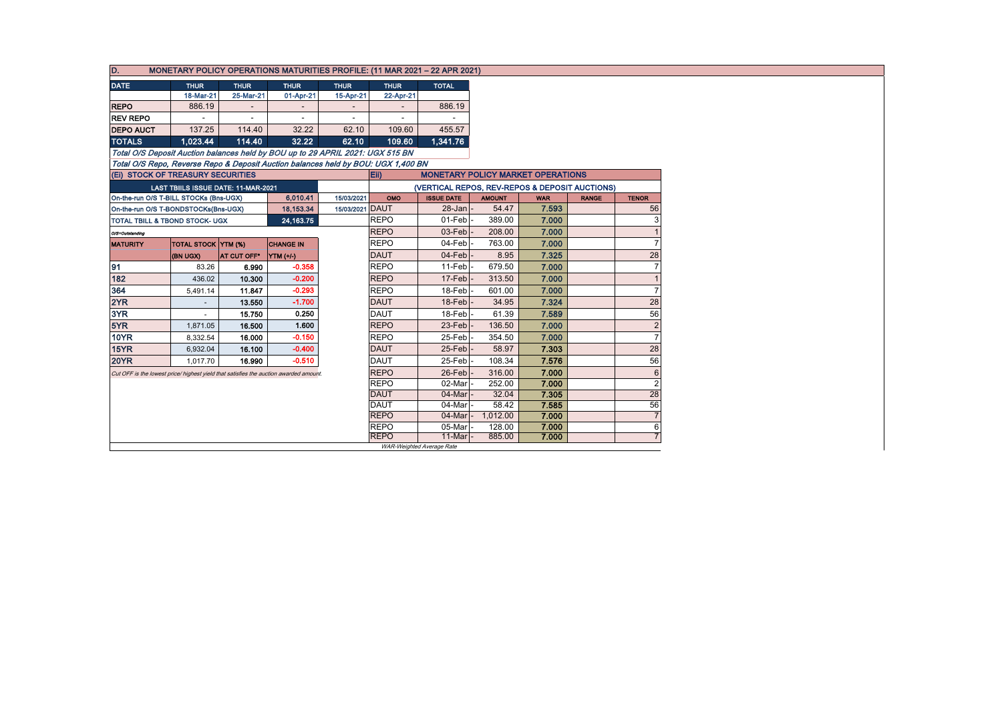| D.<br><b>MONETARY POLICY OPERATIONS MATURITIES PROFILE: (11 MAR 2021 - 22 APR 2021)</b> |                                     |                          |                          |                          |                            |                                                |                  |                |              |                |  |
|-----------------------------------------------------------------------------------------|-------------------------------------|--------------------------|--------------------------|--------------------------|----------------------------|------------------------------------------------|------------------|----------------|--------------|----------------|--|
| <b>DATE</b>                                                                             | <b>THUR</b>                         | <b>THUR</b>              | <b>THUR</b>              | <b>THUR</b>              | <b>THUR</b>                | <b>TOTAL</b>                                   |                  |                |              |                |  |
|                                                                                         | 18-Mar-21                           | 25-Mar-21                | 01-Apr-21                | 15-Apr-21                | 22-Apr-21                  |                                                |                  |                |              |                |  |
| <b>REPO</b>                                                                             | 886.19                              | $\overline{\phantom{a}}$ | $\overline{\phantom{a}}$ |                          |                            | 886.19                                         |                  |                |              |                |  |
| <b>REV REPO</b>                                                                         |                                     | $\overline{\phantom{a}}$ | $\overline{\phantom{a}}$ | $\overline{\phantom{a}}$ |                            |                                                |                  |                |              |                |  |
| <b>DEPO AUCT</b>                                                                        | 137.25                              | 114.40                   | 32.22                    | 62.10                    | 109.60                     | 455.57                                         |                  |                |              |                |  |
| <b>TOTALS</b>                                                                           | 1.023.44                            | 114.40                   | 32.22                    | 62.10                    | 109.60                     | 1.341.76                                       |                  |                |              |                |  |
| Total O/S Deposit Auction balances held by BOU up to 29 APRIL 2021: UGX 515 BN          |                                     |                          |                          |                          |                            |                                                |                  |                |              |                |  |
| Total O/S Repo, Reverse Repo & Deposit Auction balances held by BOU: UGX 1.400 BN       |                                     |                          |                          |                          |                            |                                                |                  |                |              |                |  |
| (Ei) STOCK OF TREASURY SECURITIES                                                       |                                     |                          |                          |                          | Eii)                       | <b>MONETARY POLICY MARKET OPERATIONS</b>       |                  |                |              |                |  |
|                                                                                         | LAST TBIILS ISSUE DATE: 11-MAR-2021 |                          |                          |                          |                            | (VERTICAL REPOS, REV-REPOS & DEPOSIT AUCTIONS) |                  |                |              |                |  |
| On-the-run O/S T-BILL STOCKs (Bns-UGX)                                                  |                                     |                          | 6,010.41                 | 15/03/2021               | OMO                        | <b>ISSUE DATE</b>                              | <b>AMOUNT</b>    | <b>WAR</b>     | <b>RANGE</b> | <b>TENOR</b>   |  |
| On-the-run O/S T-BONDSTOCKs(Bns-UGX)                                                    |                                     |                          | 18,153.34                | 15/03/2021 DAUT          |                            | $28 - Jan$                                     | 54.47            | 7.593          |              | 56             |  |
| TOTAL TBILL & TBOND STOCK- UGX                                                          |                                     |                          | 24, 163. 75              |                          | <b>REPO</b>                | 01-Feb                                         | 389.00           | 7.000          |              |                |  |
| O/S=Outstanding                                                                         |                                     |                          |                          |                          | <b>REPO</b>                | $03$ -Feb                                      | 208.00           | 7.000          |              |                |  |
| <b>MATURITY</b>                                                                         | <b>TOTAL STOCK YTM (%)</b>          |                          | <b>CHANGE IN</b>         |                          | <b>REPO</b>                | 04-Feb                                         | 763.00           | 7.000          |              |                |  |
|                                                                                         | (BN UGX)                            | AT CUT OFF*              | $\Upsilon$ TM $(+/-)$    |                          | <b>DAUT</b>                | 04-Feb                                         | 8.95             | 7.325          |              | 28             |  |
| 91                                                                                      | 83.26                               | 6.990                    | $-0.358$                 |                          | <b>REPO</b>                | 11-Feb                                         | 679.50           | 7.000          |              |                |  |
| 182                                                                                     | 436.02                              | 10.300                   | $-0.200$                 |                          | <b>REPO</b>                | $17$ -Feb                                      | 313.50           | 7.000          |              |                |  |
| 364                                                                                     | 5,491.14                            | 11.847                   | $-0.293$                 |                          | <b>REPO</b>                | $18$ -Feb                                      | 601.00           | 7.000          |              |                |  |
| 2YR                                                                                     |                                     | 13.550                   | $-1.700$                 |                          | <b>DAUT</b>                | 18-Feb                                         | 34.95            | 7.324          |              | 28             |  |
| 3YR                                                                                     |                                     | 15.750                   | 0.250                    |                          | DAUT                       | 18-Feb                                         | 61.39            | 7.589          |              | 56             |  |
| 5YR                                                                                     | 1,871.05                            | 16.500                   | 1.600                    |                          | <b>REPO</b>                | 23-Feb                                         | 136.50           | 7.000          |              | 2              |  |
| <b>10YR</b>                                                                             | 8,332.54                            | 16,000                   | $-0.150$                 |                          | <b>REPO</b>                | 25-Feb                                         | 354.50           | 7.000          |              |                |  |
| 15YR                                                                                    | 6,932.04                            | 16.100                   | $-0.400$                 |                          | <b>DAUT</b>                | 25-Feb                                         | 58.97            | 7.303          |              | 28             |  |
| <b>20YR</b>                                                                             | 1,017.70                            | 16.990                   | $-0.510$                 |                          | <b>DAUT</b>                | 25-Feb                                         | 108.34           | 7.576          |              | 56             |  |
| Cut OFF is the lowest price/ highest yield that satisfies the auction awarded amount.   |                                     |                          |                          |                          | <b>REPO</b>                | 26-Feb                                         | 316.00           | 7.000          |              | 6              |  |
|                                                                                         |                                     |                          |                          |                          | <b>REPO</b>                | 02-Mar                                         | 252.00           | 7.000          |              | $\overline{2}$ |  |
|                                                                                         |                                     |                          |                          |                          | <b>DAUT</b>                | 04-Mar                                         | 32.04            | 7.305          |              | 28             |  |
|                                                                                         |                                     |                          |                          |                          | DAUT                       | 04-Mar                                         | 58.42            | 7.585          |              | 56             |  |
|                                                                                         |                                     |                          |                          |                          | <b>REPO</b>                | 04-Mar                                         | 1,012.00         | 7.000          |              |                |  |
|                                                                                         |                                     |                          |                          |                          | <b>REPO</b><br><b>REPO</b> | 05-Mar<br>11-Mar                               | 128.00<br>885.00 | 7.000<br>7.000 |              | 6              |  |
|                                                                                         |                                     |                          |                          |                          |                            | WAR-Weighted Average Rate                      |                  |                |              |                |  |